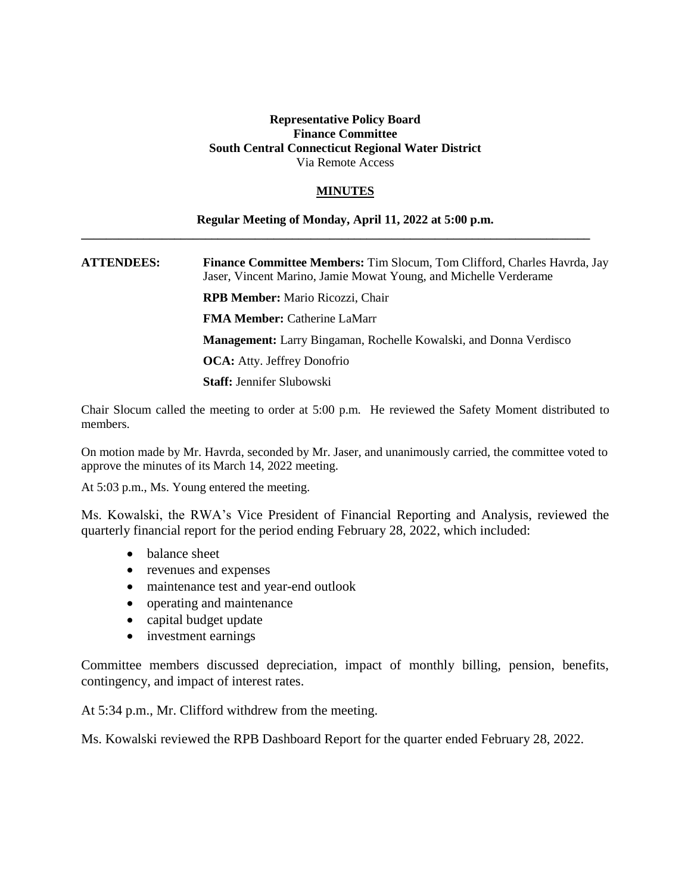## **Representative Policy Board Finance Committee South Central Connecticut Regional Water District** Via Remote Access

## **MINUTES**

## **Regular Meeting of Monday, April 11, 2022 at 5:00 p.m.**

**\_\_\_\_\_\_\_\_\_\_\_\_\_\_\_\_\_\_\_\_\_\_\_\_\_\_\_\_\_\_\_\_\_\_\_\_\_\_\_\_\_\_\_\_\_\_\_\_\_\_\_\_\_\_\_\_\_\_\_\_\_\_\_\_\_\_\_\_\_\_\_\_\_\_\_\_\_\_\_\_\_\_**

**ATTENDEES: Finance Committee Members:** Tim Slocum, Tom Clifford, Charles Havrda, Jay Jaser, Vincent Marino, Jamie Mowat Young, and Michelle Verderame

**RPB Member:** Mario Ricozzi, Chair

**FMA Member:** Catherine LaMarr

**Management:** Larry Bingaman, Rochelle Kowalski, and Donna Verdisco

**OCA:** Atty. Jeffrey Donofrio

**Staff:** Jennifer Slubowski

Chair Slocum called the meeting to order at 5:00 p.m. He reviewed the Safety Moment distributed to members.

On motion made by Mr. Havrda, seconded by Mr. Jaser, and unanimously carried, the committee voted to approve the minutes of its March 14, 2022 meeting.

At 5:03 p.m., Ms. Young entered the meeting.

Ms. Kowalski, the RWA's Vice President of Financial Reporting and Analysis, reviewed the quarterly financial report for the period ending February 28, 2022, which included:

- balance sheet
- revenues and expenses
- maintenance test and year-end outlook
- operating and maintenance
- capital budget update
- investment earnings

Committee members discussed depreciation, impact of monthly billing, pension, benefits, contingency, and impact of interest rates.

At 5:34 p.m., Mr. Clifford withdrew from the meeting.

Ms. Kowalski reviewed the RPB Dashboard Report for the quarter ended February 28, 2022.